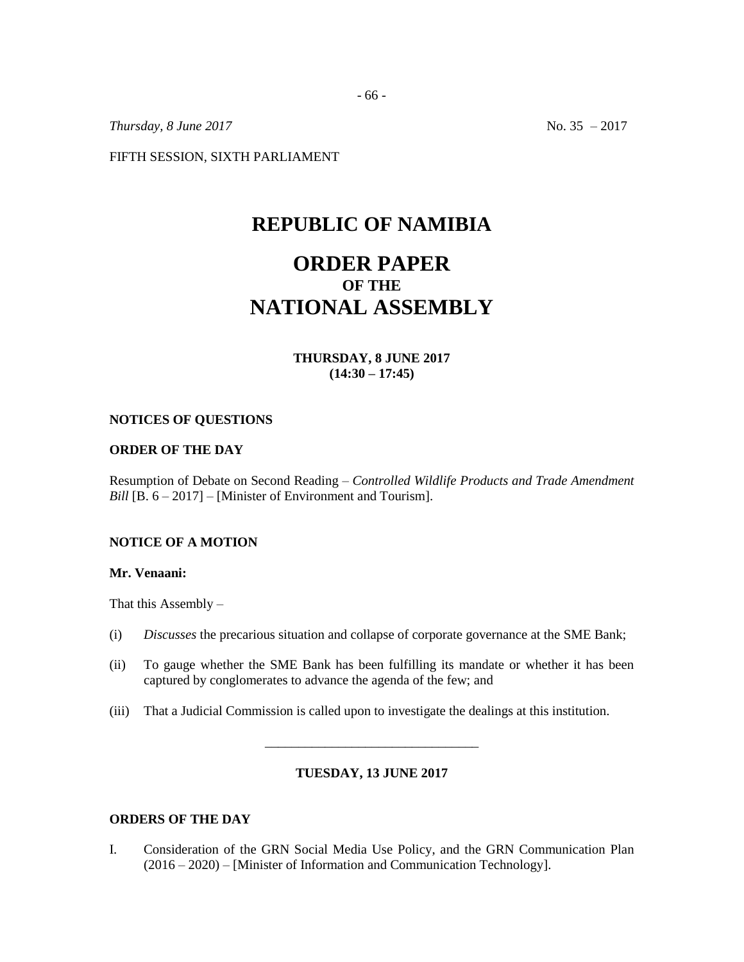*Thursday, 8 June 2017* No. 35 – 2017

FIFTH SESSION, SIXTH PARLIAMENT

# **REPUBLIC OF NAMIBIA**

# **ORDER PAPER OF THE NATIONAL ASSEMBLY**

## **THURSDAY, 8 JUNE 2017 (14:30 – 17:45)**

#### **NOTICES OF QUESTIONS**

#### **ORDER OF THE DAY**

Resumption of Debate on Second Reading – *Controlled Wildlife Products and Trade Amendment Bill* [B. 6 – 2017] – [Minister of Environment and Tourism].

## **NOTICE OF A MOTION**

#### **Mr. Venaani:**

That this Assembly  $-$ 

- (i) *Discusses* the precarious situation and collapse of corporate governance at the SME Bank;
- (ii) To gauge whether the SME Bank has been fulfilling its mandate or whether it has been captured by conglomerates to advance the agenda of the few; and
- (iii) That a Judicial Commission is called upon to investigate the dealings at this institution.

#### **TUESDAY, 13 JUNE 2017**

\_\_\_\_\_\_\_\_\_\_\_\_\_\_\_\_\_\_\_\_\_\_\_\_\_\_\_\_\_\_\_\_

### **ORDERS OF THE DAY**

I. Consideration of the GRN Social Media Use Policy, and the GRN Communication Plan (2016 – 2020) – [Minister of Information and Communication Technology].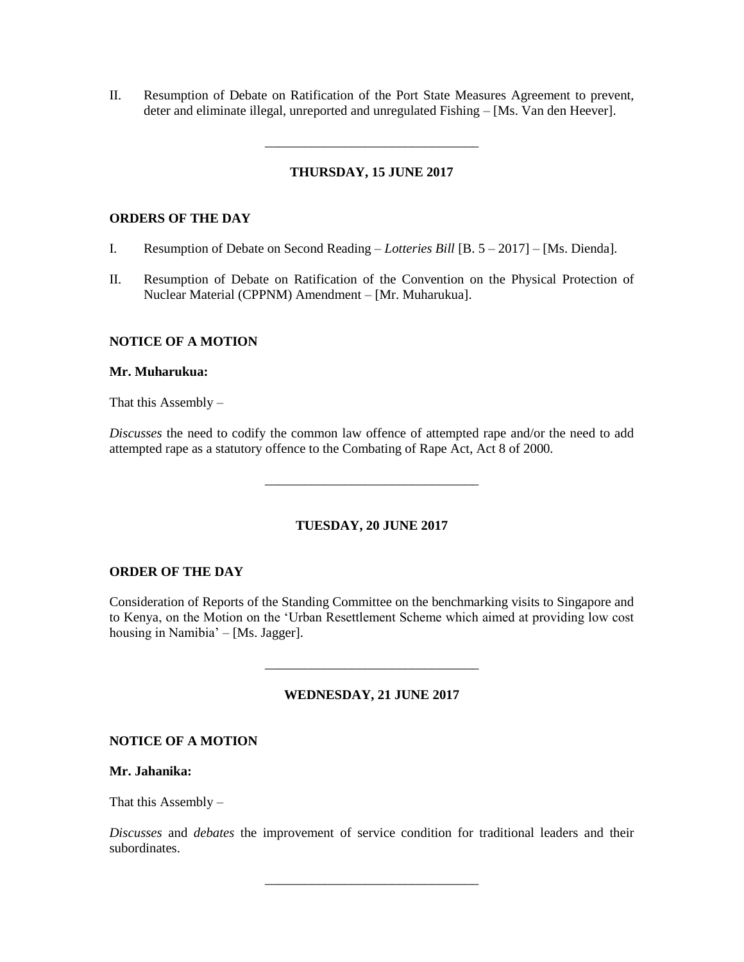II. Resumption of Debate on Ratification of the Port State Measures Agreement to prevent, deter and eliminate illegal, unreported and unregulated Fishing – [Ms. Van den Heever].

## **THURSDAY, 15 JUNE 2017**

\_\_\_\_\_\_\_\_\_\_\_\_\_\_\_\_\_\_\_\_\_\_\_\_\_\_\_\_\_\_\_\_

### **ORDERS OF THE DAY**

- I. Resumption of Debate on Second Reading *Lotteries Bill* [B. 5 2017] [Ms. Dienda].
- II. Resumption of Debate on Ratification of the Convention on the Physical Protection of Nuclear Material (CPPNM) Amendment – [Mr. Muharukua].

## **NOTICE OF A MOTION**

#### **Mr. Muharukua:**

That this Assembly  $-$ 

*Discusses* the need to codify the common law offence of attempted rape and/or the need to add attempted rape as a statutory offence to the Combating of Rape Act, Act 8 of 2000.

\_\_\_\_\_\_\_\_\_\_\_\_\_\_\_\_\_\_\_\_\_\_\_\_\_\_\_\_\_\_\_\_

#### **TUESDAY, 20 JUNE 2017**

#### **ORDER OF THE DAY**

Consideration of Reports of the Standing Committee on the benchmarking visits to Singapore and to Kenya, on the Motion on the 'Urban Resettlement Scheme which aimed at providing low cost housing in Namibia' – [Ms. Jagger].

## **WEDNESDAY, 21 JUNE 2017**

\_\_\_\_\_\_\_\_\_\_\_\_\_\_\_\_\_\_\_\_\_\_\_\_\_\_\_\_\_\_\_\_

### **NOTICE OF A MOTION**

#### **Mr. Jahanika:**

That this Assembly  $-$ 

*Discusses* and *debates* the improvement of service condition for traditional leaders and their subordinates.

\_\_\_\_\_\_\_\_\_\_\_\_\_\_\_\_\_\_\_\_\_\_\_\_\_\_\_\_\_\_\_\_